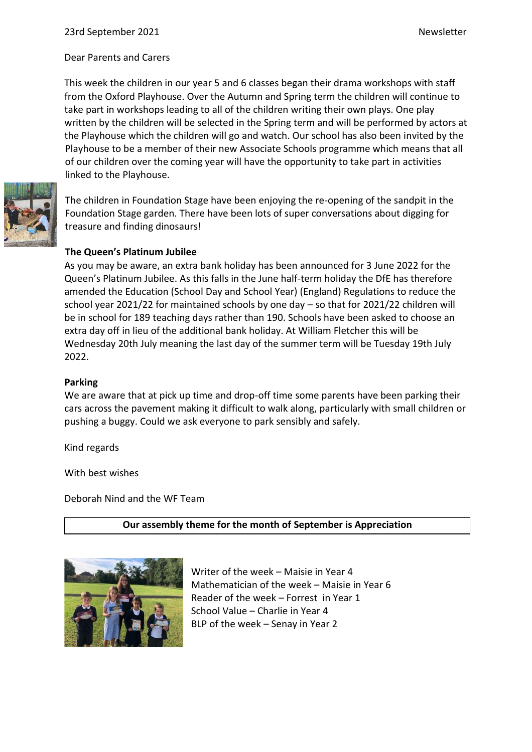Dear Parents and Carers

This week the children in our year 5 and 6 classes began their drama workshops with staff from the Oxford Playhouse. Over the Autumn and Spring term the children will continue to take part in workshops leading to all of the children writing their own plays. One play written by the children will be selected in the Spring term and will be performed by actors at the Playhouse which the children will go and watch. Our school has also been invited by the Playhouse to be a member of their new Associate Schools programme which means that all of our children over the coming year will have the opportunity to take part in activities linked to the Playhouse.



The children in Foundation Stage have been enjoying the re-opening of the sandpit in the Foundation Stage garden. There have been lots of super conversations about digging for treasure and finding dinosaurs!

## **The Queen's Platinum Jubilee**

As you may be aware, an extra bank holiday has been announced for 3 June 2022 for the Queen's Platinum Jubilee. As this falls in the June half-term holiday the DfE has therefore amended the Education (School Day and School Year) (England) Regulations to reduce the school year 2021/22 for maintained schools by one day – so that for 2021/22 children will be in school for 189 teaching days rather than 190. Schools have been asked to choose an extra day off in lieu of the additional bank holiday. At William Fletcher this will be Wednesday 20th July meaning the last day of the summer term will be Tuesday 19th July 2022.

#### **Parking**

We are aware that at pick up time and drop-off time some parents have been parking their cars across the pavement making it difficult to walk along, particularly with small children or pushing a buggy. Could we ask everyone to park sensibly and safely.

Kind regards

With best wishes

Deborah Nind and the WF Team

#### **Our assembly theme for the month of September is Appreciation**



Writer of the week – Maisie in Year 4 Mathematician of the week – Maisie in Year 6 Reader of the week – Forrest in Year 1 School Value – Charlie in Year 4 BLP of the week – Senay in Year 2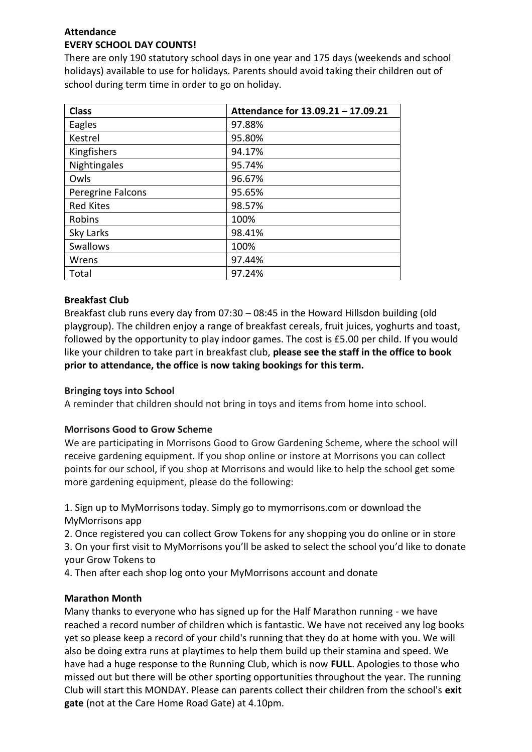# **Attendance EVERY SCHOOL DAY COUNTS!**

There are only 190 statutory school days in one year and 175 days (weekends and school holidays) available to use for holidays. Parents should avoid taking their children out of school during term time in order to go on holiday.

| <b>Class</b>      | Attendance for 13.09.21 - 17.09.21 |
|-------------------|------------------------------------|
| Eagles            | 97.88%                             |
| Kestrel           | 95.80%                             |
| Kingfishers       | 94.17%                             |
| Nightingales      | 95.74%                             |
| Owls              | 96.67%                             |
| Peregrine Falcons | 95.65%                             |
| <b>Red Kites</b>  | 98.57%                             |
| Robins            | 100%                               |
| Sky Larks         | 98.41%                             |
| <b>Swallows</b>   | 100%                               |
| Wrens             | 97.44%                             |
| Total             | 97.24%                             |

# **Breakfast Club**

Breakfast club runs every day from 07:30 – 08:45 in the Howard Hillsdon building (old playgroup). The children enjoy a range of breakfast cereals, fruit juices, yoghurts and toast, followed by the opportunity to play indoor games. The cost is £5.00 per child. If you would like your children to take part in breakfast club, **please see the staff in the office to book prior to attendance, the office is now taking bookings for this term.**

# **Bringing toys into School**

A reminder that children should not bring in toys and items from home into school.

# **Morrisons Good to Grow Scheme**

We are participating in Morrisons Good to Grow Gardening Scheme, where the school will receive gardening equipment. If you shop online or instore at Morrisons you can collect points for our school, if you shop at Morrisons and would like to help the school get some more gardening equipment, please do the following:

1. Sign up to MyMorrisons today. Simply go to mymorrisons.com or download the MyMorrisons app

2. Once registered you can collect Grow Tokens for any shopping you do online or in store 3. On your first visit to MyMorrisons you'll be asked to select the school you'd like to donate your Grow Tokens to

4. Then after each shop log onto your MyMorrisons account and donate

# **Marathon Month**

Many thanks to everyone who has signed up for the Half Marathon running - we have reached a record number of children which is fantastic. We have not received any log books yet so please keep a record of your child's running that they do at home with you. We will also be doing extra runs at playtimes to help them build up their stamina and speed. We have had a huge response to the Running Club, which is now **FULL**. Apologies to those who missed out but there will be other sporting opportunities throughout the year. The running Club will start this MONDAY. Please can parents collect their children from the school's **exit gate** (not at the Care Home Road Gate) at 4.10pm.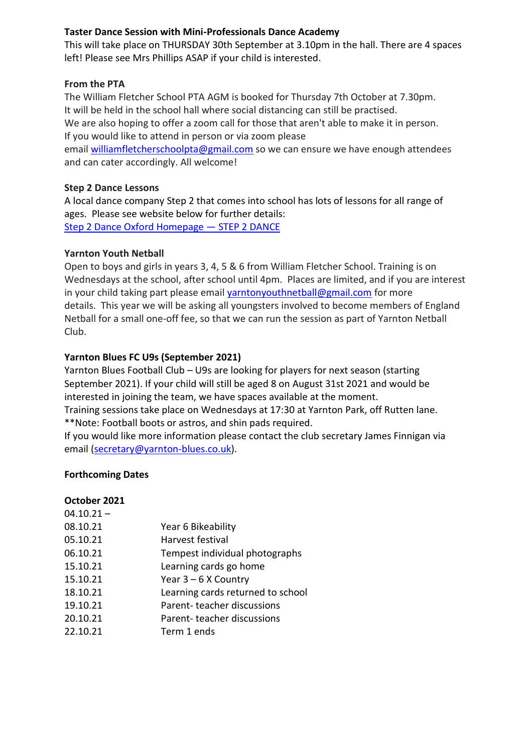## **Taster Dance Session with Mini-Professionals Dance Academy**

This will take place on THURSDAY 30th September at 3.10pm in the hall. There are 4 spaces left! Please see Mrs Phillips ASAP if your child is interested.

## **From the PTA**

The William Fletcher School PTA AGM is booked for Thursday 7th October at 7.30pm. It will be held in the school hall where social distancing can still be practised. We are also hoping to offer a zoom call for those that aren't able to make it in person. If you would like to attend in person or via zoom please

email [williamfletcherschoolpta@gmail.com](mailto:williamfletcherschoolpta@gmail.com) so we can ensure we have enough attendees and can cater accordingly. All welcome!

## **Step 2 Dance Lessons**

A local dance company Step 2 that comes into school has lots of lessons for all range of ages. Please see website below for further details: [Step 2 Dance Oxford Homepage](https://www.step2dance.co.uk/home) — STEP 2 DANCE

## **Yarnton Youth Netball**

Open to boys and girls in years 3, 4, 5 & 6 from William Fletcher School. Training is on Wednesdays at the school, after school until 4pm. Places are limited, and if you are interest in your child taking part please email [yarntonyouthnetball@gmail.com](mailto:yarntonyouthnetball@gmail.com) for more details. This year we will be asking all youngsters involved to become members of England Netball for a small one-off fee, so that we can run the session as part of Yarnton Netball Club.

## **Yarnton Blues FC U9s (September 2021)**

Yarnton Blues Football Club – U9s are looking for players for next season (starting September 2021). If your child will still be aged 8 on August 31st 2021 and would be interested in joining the team, we have spaces available at the moment. Training sessions take place on Wednesdays at 17:30 at Yarnton Park, off Rutten lane.

\*\*Note: Football boots or astros, and shin pads required.

If you would like more information please contact the club secretary James Finnigan via email [\(secretary@yarnton-blues.co.uk\)](mailto:secretary@yarnton-blues.co.uk).

## **Forthcoming Dates**

# **October 2021**

| $04.10.21 -$ |                                   |
|--------------|-----------------------------------|
| 08.10.21     | Year 6 Bikeability                |
| 05.10.21     | Harvest festival                  |
| 06.10.21     | Tempest individual photographs    |
| 15.10.21     | Learning cards go home            |
| 15.10.21     | Year $3 - 6$ X Country            |
| 18.10.21     | Learning cards returned to school |
| 19.10.21     | Parent-teacher discussions        |
| 20.10.21     | Parent-teacher discussions        |
| 22.10.21     | Term 1 ends                       |